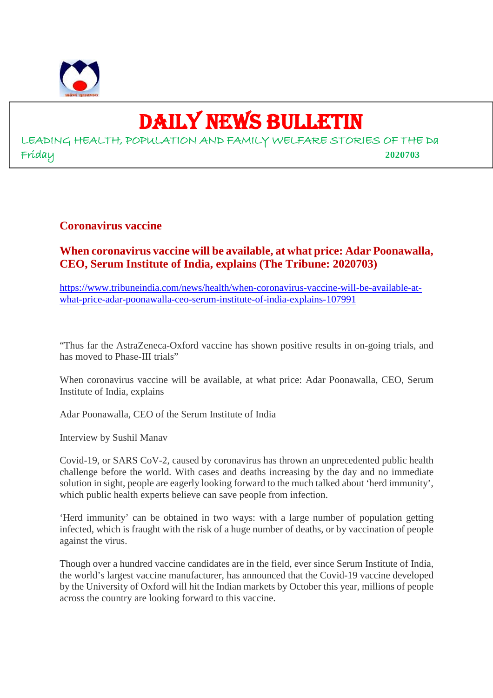

# DAILY NEWS BULLETIN

LEADING HEALTH, POPULATION AND FAMILY WELFARE STORIES OF THE Da Friday **2020703**

# **Coronavirus vaccine**

# **When coronavirus vaccine will be available, at what price: Adar Poonawalla, CEO, Serum Institute of India, explains (The Tribune: 2020703)**

https://www.tribuneindia.com/news/health/when-coronavirus-vaccine-will-be-available-atwhat-price-adar-poonawalla-ceo-serum-institute-of-india-explains-107991

"Thus far the AstraZeneca-Oxford vaccine has shown positive results in on-going trials, and has moved to Phase-III trials"

When coronavirus vaccine will be available, at what price: Adar Poonawalla, CEO, Serum Institute of India, explains

Adar Poonawalla, CEO of the Serum Institute of India

Interview by Sushil Manav

Covid-19, or SARS CoV-2, caused by coronavirus has thrown an unprecedented public health challenge before the world. With cases and deaths increasing by the day and no immediate solution in sight, people are eagerly looking forward to the much talked about 'herd immunity', which public health experts believe can save people from infection.

'Herd immunity' can be obtained in two ways: with a large number of population getting infected, which is fraught with the risk of a huge number of deaths, or by vaccination of people against the virus.

Though over a hundred vaccine candidates are in the field, ever since Serum Institute of India, the world's largest vaccine manufacturer, has announced that the Covid-19 vaccine developed by the University of Oxford will hit the Indian markets by October this year, millions of people across the country are looking forward to this vaccine.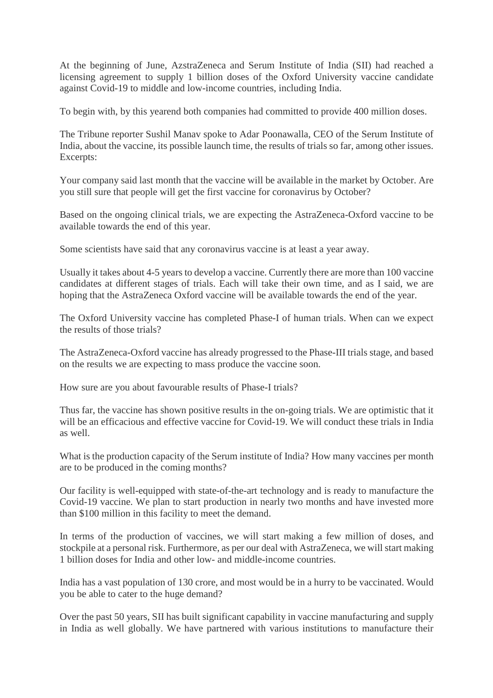At the beginning of June, AzstraZeneca and Serum Institute of India (SII) had reached a licensing agreement to supply 1 billion doses of the Oxford University vaccine candidate against Covid-19 to middle and low-income countries, including India.

To begin with, by this yearend both companies had committed to provide 400 million doses.

The Tribune reporter Sushil Manav spoke to Adar Poonawalla, CEO of the Serum Institute of India, about the vaccine, its possible launch time, the results of trials so far, among other issues. Excerpts:

Your company said last month that the vaccine will be available in the market by October. Are you still sure that people will get the first vaccine for coronavirus by October?

Based on the ongoing clinical trials, we are expecting the AstraZeneca-Oxford vaccine to be available towards the end of this year.

Some scientists have said that any coronavirus vaccine is at least a year away.

Usually it takes about 4-5 years to develop a vaccine. Currently there are more than 100 vaccine candidates at different stages of trials. Each will take their own time, and as I said, we are hoping that the AstraZeneca Oxford vaccine will be available towards the end of the year.

The Oxford University vaccine has completed Phase-I of human trials. When can we expect the results of those trials?

The AstraZeneca-Oxford vaccine has already progressed to the Phase-III trials stage, and based on the results we are expecting to mass produce the vaccine soon.

How sure are you about favourable results of Phase-I trials?

Thus far, the vaccine has shown positive results in the on-going trials. We are optimistic that it will be an efficacious and effective vaccine for Covid-19. We will conduct these trials in India as well.

What is the production capacity of the Serum institute of India? How many vaccines per month are to be produced in the coming months?

Our facility is well-equipped with state-of-the-art technology and is ready to manufacture the Covid-19 vaccine. We plan to start production in nearly two months and have invested more than \$100 million in this facility to meet the demand.

In terms of the production of vaccines, we will start making a few million of doses, and stockpile at a personal risk. Furthermore, as per our deal with AstraZeneca, we will start making 1 billion doses for India and other low- and middle-income countries.

India has a vast population of 130 crore, and most would be in a hurry to be vaccinated. Would you be able to cater to the huge demand?

Over the past 50 years, SII has built significant capability in vaccine manufacturing and supply in India as well globally. We have partnered with various institutions to manufacture their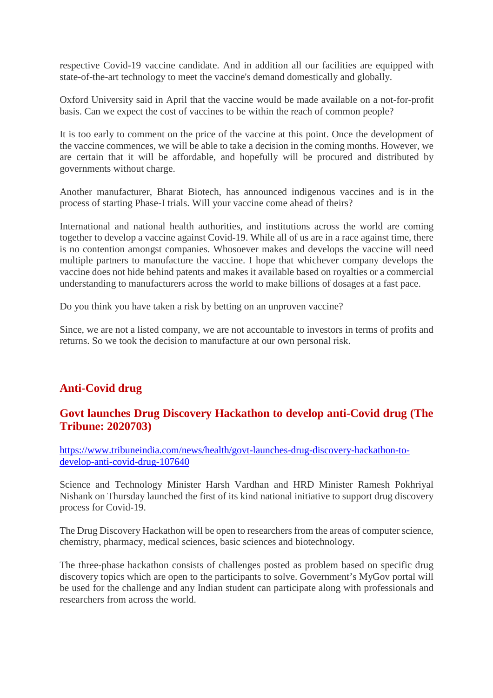respective Covid-19 vaccine candidate. And in addition all our facilities are equipped with state-of-the-art technology to meet the vaccine's demand domestically and globally.

Oxford University said in April that the vaccine would be made available on a not-for-profit basis. Can we expect the cost of vaccines to be within the reach of common people?

It is too early to comment on the price of the vaccine at this point. Once the development of the vaccine commences, we will be able to take a decision in the coming months. However, we are certain that it will be affordable, and hopefully will be procured and distributed by governments without charge.

Another manufacturer, Bharat Biotech, has announced indigenous vaccines and is in the process of starting Phase-I trials. Will your vaccine come ahead of theirs?

International and national health authorities, and institutions across the world are coming together to develop a vaccine against Covid-19. While all of us are in a race against time, there is no contention amongst companies. Whosoever makes and develops the vaccine will need multiple partners to manufacture the vaccine. I hope that whichever company develops the vaccine does not hide behind patents and makes it available based on royalties or a commercial understanding to manufacturers across the world to make billions of dosages at a fast pace.

Do you think you have taken a risk by betting on an unproven vaccine?

Since, we are not a listed company, we are not accountable to investors in terms of profits and returns. So we took the decision to manufacture at our own personal risk.

# **Anti-Covid drug**

# **Govt launches Drug Discovery Hackathon to develop anti-Covid drug (The Tribune: 2020703)**

https://www.tribuneindia.com/news/health/govt-launches-drug-discovery-hackathon-todevelop-anti-covid-drug-107640

Science and Technology Minister Harsh Vardhan and HRD Minister Ramesh Pokhriyal Nishank on Thursday launched the first of its kind national initiative to support drug discovery process for Covid-19.

The Drug Discovery Hackathon will be open to researchers from the areas of computer science, chemistry, pharmacy, medical sciences, basic sciences and biotechnology.

The three-phase hackathon consists of challenges posted as problem based on specific drug discovery topics which are open to the participants to solve. Government's MyGov portal will be used for the challenge and any Indian student can participate along with professionals and researchers from across the world.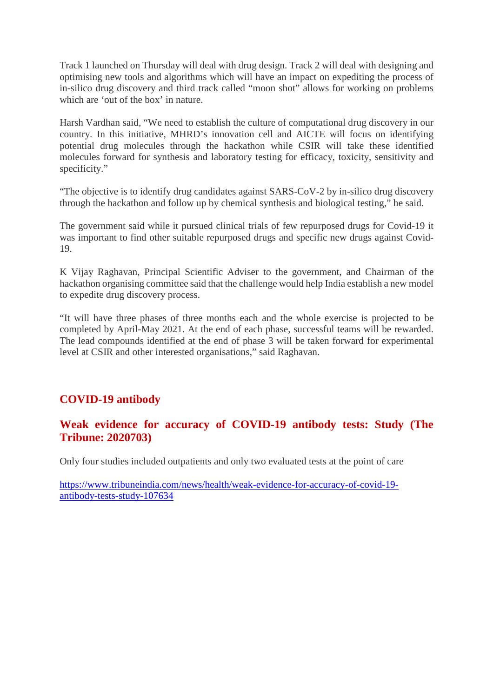Track 1 launched on Thursday will deal with drug design. Track 2 will deal with designing and optimising new tools and algorithms which will have an impact on expediting the process of in-silico drug discovery and third track called "moon shot" allows for working on problems which are 'out of the box' in nature.

Harsh Vardhan said, "We need to establish the culture of computational drug discovery in our country. In this initiative, MHRD's innovation cell and AICTE will focus on identifying potential drug molecules through the hackathon while CSIR will take these identified molecules forward for synthesis and laboratory testing for efficacy, toxicity, sensitivity and specificity."

"The objective is to identify drug candidates against SARS-CoV-2 by in-silico drug discovery through the hackathon and follow up by chemical synthesis and biological testing," he said.

The government said while it pursued clinical trials of few repurposed drugs for Covid-19 it was important to find other suitable repurposed drugs and specific new drugs against Covid-19.

K Vijay Raghavan, Principal Scientific Adviser to the government, and Chairman of the hackathon organising committee said that the challenge would help India establish a new model to expedite drug discovery process.

"It will have three phases of three months each and the whole exercise is projected to be completed by April-May 2021. At the end of each phase, successful teams will be rewarded. The lead compounds identified at the end of phase 3 will be taken forward for experimental level at CSIR and other interested organisations," said Raghavan.

# **COVID-19 antibody**

# **Weak evidence for accuracy of COVID-19 antibody tests: Study (The Tribune: 2020703)**

Only four studies included outpatients and only two evaluated tests at the point of care

https://www.tribuneindia.com/news/health/weak-evidence-for-accuracy-of-covid-19 antibody-tests-study-107634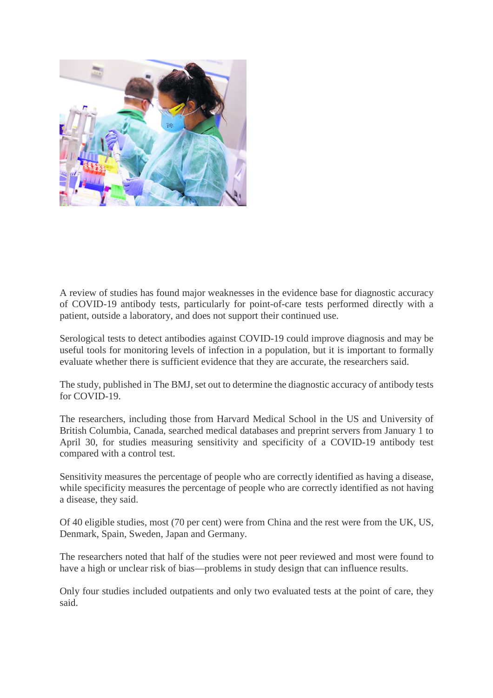

A review of studies has found major weaknesses in the evidence base for diagnostic accuracy of COVID-19 antibody tests, particularly for point-of-care tests performed directly with a patient, outside a laboratory, and does not support their continued use.

Serological tests to detect antibodies against COVID-19 could improve diagnosis and may be useful tools for monitoring levels of infection in a population, but it is important to formally evaluate whether there is sufficient evidence that they are accurate, the researchers said.

The study, published in The BMJ, set out to determine the diagnostic accuracy of antibody tests for COVID-19.

The researchers, including those from Harvard Medical School in the US and University of British Columbia, Canada, searched medical databases and preprint servers from January 1 to April 30, for studies measuring sensitivity and specificity of a COVID-19 antibody test compared with a control test.

Sensitivity measures the percentage of people who are correctly identified as having a disease, while specificity measures the percentage of people who are correctly identified as not having a disease, they said.

Of 40 eligible studies, most (70 per cent) were from China and the rest were from the UK, US, Denmark, Spain, Sweden, Japan and Germany.

The researchers noted that half of the studies were not peer reviewed and most were found to have a high or unclear risk of bias—problems in study design that can influence results.

Only four studies included outpatients and only two evaluated tests at the point of care, they said.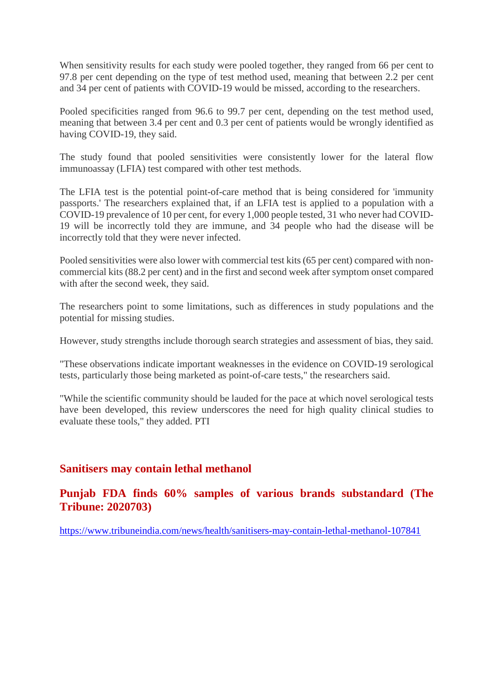When sensitivity results for each study were pooled together, they ranged from 66 per cent to 97.8 per cent depending on the type of test method used, meaning that between 2.2 per cent and 34 per cent of patients with COVID-19 would be missed, according to the researchers.

Pooled specificities ranged from 96.6 to 99.7 per cent, depending on the test method used, meaning that between 3.4 per cent and 0.3 per cent of patients would be wrongly identified as having COVID-19, they said.

The study found that pooled sensitivities were consistently lower for the lateral flow immunoassay (LFIA) test compared with other test methods.

The LFIA test is the potential point-of-care method that is being considered for 'immunity passports.' The researchers explained that, if an LFIA test is applied to a population with a COVID-19 prevalence of 10 per cent, for every 1,000 people tested, 31 who never had COVID-19 will be incorrectly told they are immune, and 34 people who had the disease will be incorrectly told that they were never infected.

Pooled sensitivities were also lower with commercial test kits (65 per cent) compared with noncommercial kits (88.2 per cent) and in the first and second week after symptom onset compared with after the second week, they said.

The researchers point to some limitations, such as differences in study populations and the potential for missing studies.

However, study strengths include thorough search strategies and assessment of bias, they said.

"These observations indicate important weaknesses in the evidence on COVID-19 serological tests, particularly those being marketed as point-of-care tests," the researchers said.

"While the scientific community should be lauded for the pace at which novel serological tests have been developed, this review underscores the need for high quality clinical studies to evaluate these tools," they added. PTI

# **Sanitisers may contain lethal methanol**

# **Punjab FDA finds 60% samples of various brands substandard (The Tribune: 2020703)**

https://www.tribuneindia.com/news/health/sanitisers-may-contain-lethal-methanol-107841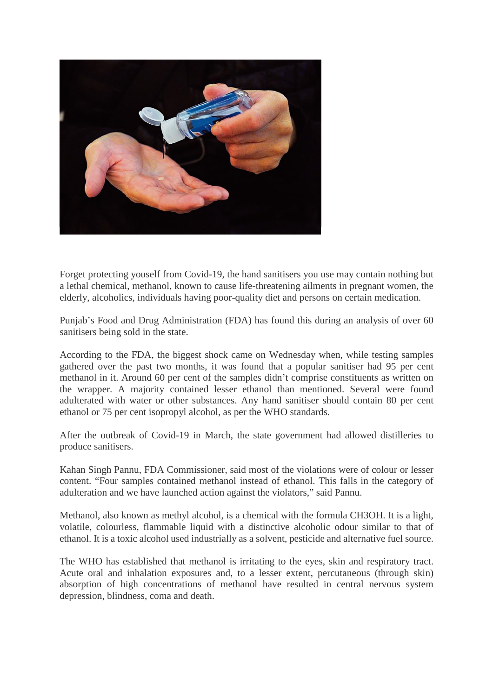

Forget protecting youself from Covid-19, the hand sanitisers you use may contain nothing but a lethal chemical, methanol, known to cause life-threatening ailments in pregnant women, the elderly, alcoholics, individuals having poor-quality diet and persons on certain medication.

Punjab's Food and Drug Administration (FDA) has found this during an analysis of over 60 sanitisers being sold in the state.

According to the FDA, the biggest shock came on Wednesday when, while testing samples gathered over the past two months, it was found that a popular sanitiser had 95 per cent methanol in it. Around 60 per cent of the samples didn't comprise constituents as written on the wrapper. A majority contained lesser ethanol than mentioned. Several were found adulterated with water or other substances. Any hand sanitiser should contain 80 per cent ethanol or 75 per cent isopropyl alcohol, as per the WHO standards.

After the outbreak of Covid-19 in March, the state government had allowed distilleries to produce sanitisers.

Kahan Singh Pannu, FDA Commissioner, said most of the violations were of colour or lesser content. "Four samples contained methanol instead of ethanol. This falls in the category of adulteration and we have launched action against the violators," said Pannu.

Methanol, also known as methyl alcohol, is a chemical with the formula CH3OH. It is a light, volatile, colourless, flammable liquid with a distinctive alcoholic odour similar to that of ethanol. It is a toxic alcohol used industrially as a solvent, pesticide and alternative fuel source.

The WHO has established that methanol is irritating to the eyes, skin and respiratory tract. Acute oral and inhalation exposures and, to a lesser extent, percutaneous (through skin) absorption of high concentrations of methanol have resulted in central nervous system depression, blindness, coma and death.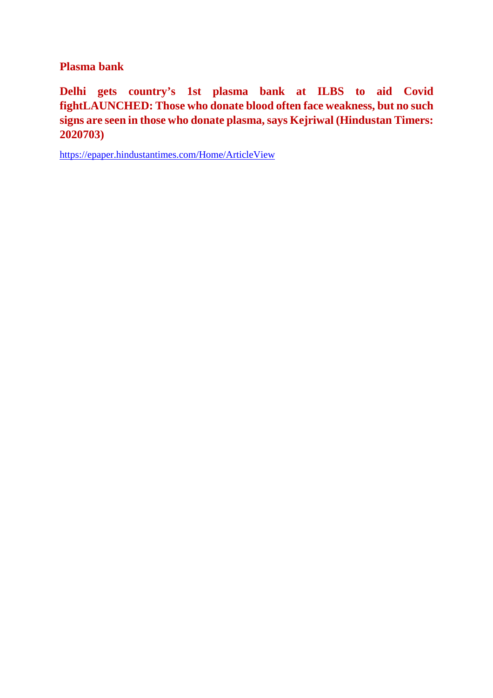**Plasma bank**

**Delhi gets country's 1st plasma bank at ILBS to aid Covid fightLAUNCHED: Those who donate blood often face weakness, but no such signs are seen in those who donate plasma, says Kejriwal (Hindustan Timers: 2020703)**

https://epaper.hindustantimes.com/Home/ArticleView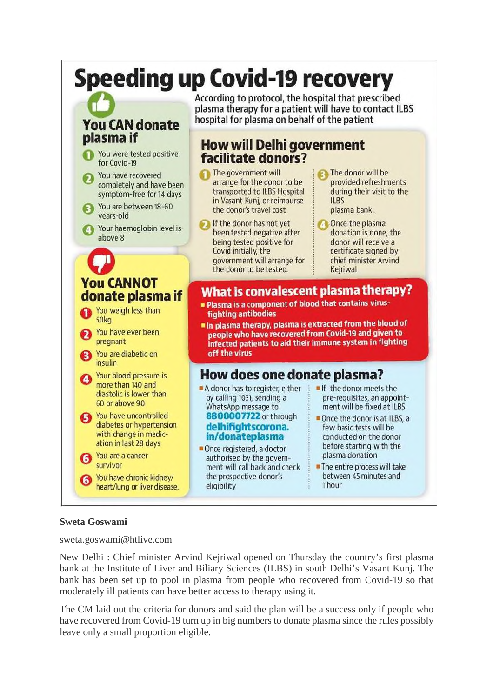# **Speeding up Covid-19 recovery**

# **You CAN donate** plasma if

You were tested positive for Covid-19 You have recovered completely and have been symptom-free for 14 days You are between 18-60 vears-old Your haemoglobin level is above 8

According to protocol, the hospital that prescribed plasma therapy for a patient will have to contact ILBS hospital for plasma on behalf of the patient

# **How will Delhi government** facilitate donors?

- The government will arrange for the donor to be transported to ILBS Hospital in Vasant Kunj, or reimburse the donor's travel cost.
- If the donor has not yet been tested negative after being tested positive for Covid initially, the government will arrange for the donor to be tested.

The donor will be provided refreshments during their visit to the **ILBS** plasma bank.

Once the plasma donation is done, the donor will receive a certificate signed by chief minister Arvind Kejriwal

# **You CANNOT** donate plasma if

- You weigh less than **50kg**
- You have ever been pregnant
- You are diabetic on insulin
- Your blood pressure is more than 140 and diastolic is lower than 60 or above 90
- You have uncontrolled diabetes or hypertension with change in medication in last 28 days
- You are a cancer survivor

You have chronic kidney/ heart/lung or liver disease.

#### What is convalescent plasma therapy? . Plasma is a component of blood that contains virus**fighting antibodies**

In plasma therapy, plasma is extracted from the blood of people who have recovered from Covid-19 and given to infected patients to aid their immune system in fighting off the virus

# How does one donate plasma?

- A donor has to register, either by calling 1031, sending a WhatsApp message to 8800007722 or through delhifightscorona. in/donateplasma
- Once registered, a doctor authorised by the government will call back and check the prospective donor's eligibility
- If the donor meets the pre-requisites, an appointment will be fixed at ILBS
- Once the donor is at ILBS, a few basic tests will be conducted on the donor before starting with the plasma donation
- The entire process will take between 45 minutes and 1 hour

## **Sweta Goswami**

sweta.goswami@htlive.com

New Delhi : Chief minister Arvind Kejriwal opened on Thursday the country's first plasma bank at the Institute of Liver and Biliary Sciences (ILBS) in south Delhi's Vasant Kunj. The bank has been set up to pool in plasma from people who recovered from Covid-19 so that moderately ill patients can have better access to therapy using it.

The CM laid out the criteria for donors and said the plan will be a success only if people who have recovered from Covid-19 turn up in big numbers to donate plasma since the rules possibly leave only a small proportion eligible.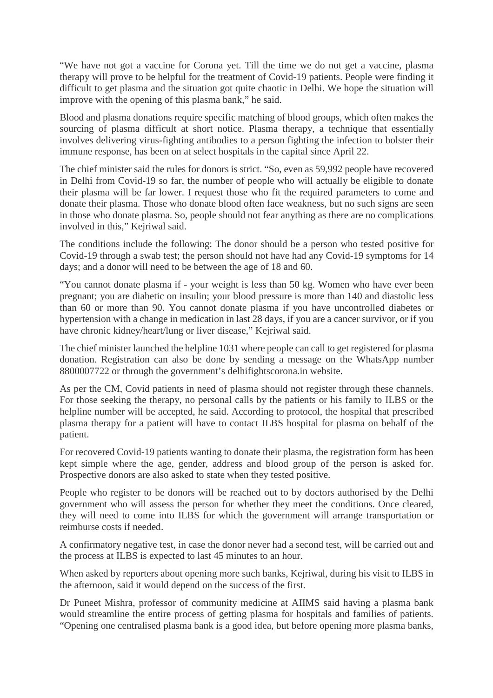"We have not got a vaccine for Corona yet. Till the time we do not get a vaccine, plasma therapy will prove to be helpful for the treatment of Covid-19 patients. People were finding it difficult to get plasma and the situation got quite chaotic in Delhi. We hope the situation will improve with the opening of this plasma bank," he said.

Blood and plasma donations require specific matching of blood groups, which often makes the sourcing of plasma difficult at short notice. Plasma therapy, a technique that essentially involves delivering virus-fighting antibodies to a person fighting the infection to bolster their immune response, has been on at select hospitals in the capital since April 22.

The chief minister said the rules for donors is strict. "So, even as 59,992 people have recovered in Delhi from Covid-19 so far, the number of people who will actually be eligible to donate their plasma will be far lower. I request those who fit the required parameters to come and donate their plasma. Those who donate blood often face weakness, but no such signs are seen in those who donate plasma. So, people should not fear anything as there are no complications involved in this," Kejriwal said.

The conditions include the following: The donor should be a person who tested positive for Covid-19 through a swab test; the person should not have had any Covid-19 symptoms for 14 days; and a donor will need to be between the age of 18 and 60.

"You cannot donate plasma if - your weight is less than 50 kg. Women who have ever been pregnant; you are diabetic on insulin; your blood pressure is more than 140 and diastolic less than 60 or more than 90. You cannot donate plasma if you have uncontrolled diabetes or hypertension with a change in medication in last 28 days, if you are a cancer survivor, or if you have chronic kidney/heart/lung or liver disease," Kejriwal said.

The chief minister launched the helpline 1031 where people can call to get registered for plasma donation. Registration can also be done by sending a message on the WhatsApp number 8800007722 or through the government's delhifightscorona.in website.

As per the CM, Covid patients in need of plasma should not register through these channels. For those seeking the therapy, no personal calls by the patients or his family to ILBS or the helpline number will be accepted, he said. According to protocol, the hospital that prescribed plasma therapy for a patient will have to contact ILBS hospital for plasma on behalf of the patient.

For recovered Covid-19 patients wanting to donate their plasma, the registration form has been kept simple where the age, gender, address and blood group of the person is asked for. Prospective donors are also asked to state when they tested positive.

People who register to be donors will be reached out to by doctors authorised by the Delhi government who will assess the person for whether they meet the conditions. Once cleared, they will need to come into ILBS for which the government will arrange transportation or reimburse costs if needed.

A confirmatory negative test, in case the donor never had a second test, will be carried out and the process at ILBS is expected to last 45 minutes to an hour.

When asked by reporters about opening more such banks, Kejriwal, during his visit to ILBS in the afternoon, said it would depend on the success of the first.

Dr Puneet Mishra, professor of community medicine at AIIMS said having a plasma bank would streamline the entire process of getting plasma for hospitals and families of patients. "Opening one centralised plasma bank is a good idea, but before opening more plasma banks,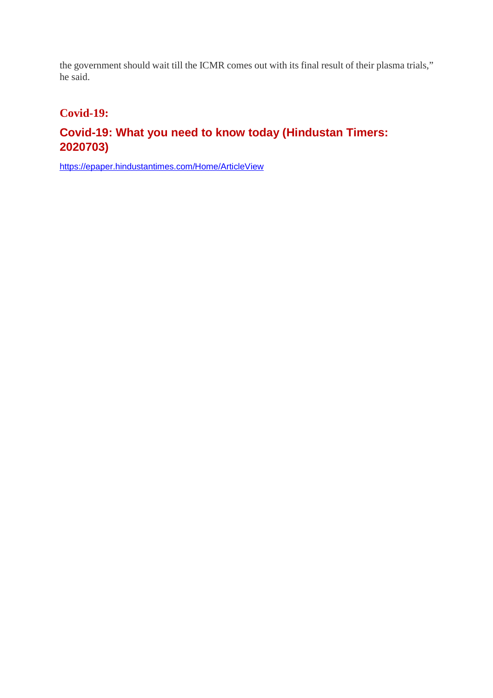the government should wait till the ICMR comes out with its final result of their plasma trials," he said.

# **Covid-19:**

# **Covid-19: What you need to know today (Hindustan Timers: 2020703)**

https://epaper.hindustantimes.com/Home/ArticleView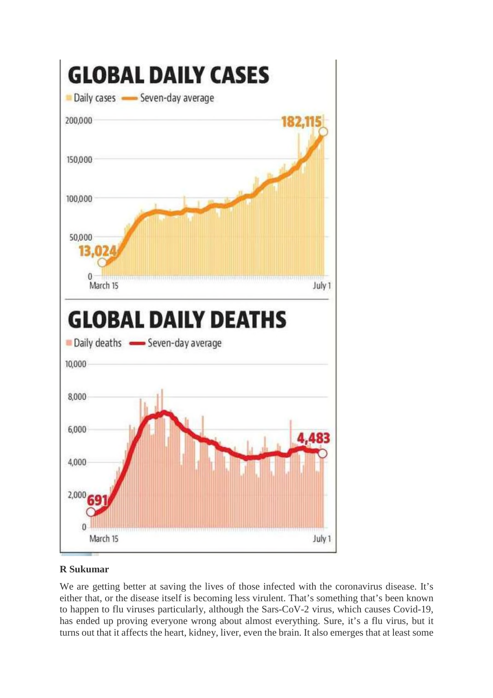

## **R Sukumar**

We are getting better at saving the lives of those infected with the coronavirus disease. It's either that, or the disease itself is becoming less virulent. That's something that's been known to happen to flu viruses particularly, although the Sars-CoV-2 virus, which causes Covid-19, has ended up proving everyone wrong about almost everything. Sure, it's a flu virus, but it turns out that it affects the heart, kidney, liver, even the brain. It also emerges that at least some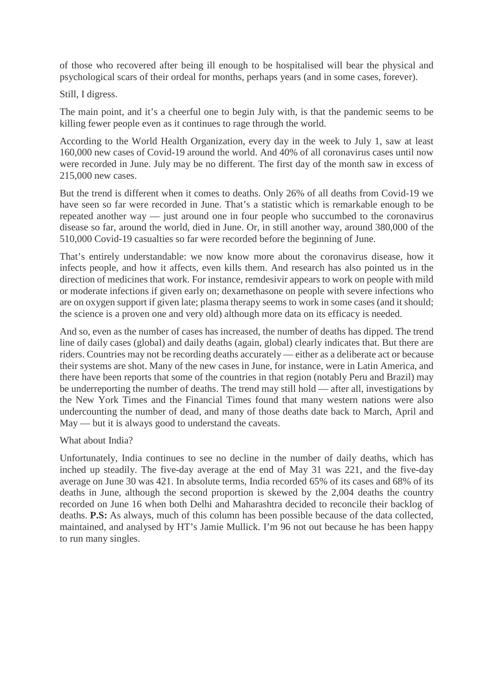of those who recovered after being ill enough to be hospitalised will bear the physical and psychological scars of their ordeal for months, perhaps years (and in some cases, forever).

Still, I digress.

The main point, and it's a cheerful one to begin July with, is that the pandemic seems to be killing fewer people even as it continues to rage through the world.

According to the World Health Organization, every day in the week to July 1, saw at least 160,000 new cases of Covid-19 around the world. And 40% of all coronavirus cases until now were recorded in June. July may be no different. The first day of the month saw in excess of 215,000 new cases.

But the trend is different when it comes to deaths. Only 26% of all deaths from Covid-19 we have seen so far were recorded in June. That's a statistic which is remarkable enough to be repeated another way — just around one in four people who succumbed to the coronavirus disease so far, around the world, died in June. Or, in still another way, around 380,000 of the 510,000 Covid-19 casualties so far were recorded before the beginning of June.

That's entirely understandable: we now know more about the coronavirus disease, how it infects people, and how it affects, even kills them. And research has also pointed us in the direction of medicines that work. For instance, remdesivir appears to work on people with mild or moderate infections if given early on; dexamethasone on people with severe infections who are on oxygen support if given late; plasma therapy seems to work in some cases (and it should; the science is a proven one and very old) although more data on its efficacy is needed.

And so, even as the number of cases has increased, the number of deaths has dipped. The trend line of daily cases (global) and daily deaths (again, global) clearly indicates that. But there are riders. Countries may not be recording deaths accurately — either as a deliberate act or because their systems are shot. Many of the new cases in June, for instance, were in Latin America, and there have been reports that some of the countries in that region (notably Peru and Brazil) may be underreporting the number of deaths. The trend may still hold — after all, investigations by the New York Times and the Financial Times found that many western nations were also undercounting the number of dead, and many of those deaths date back to March, April and May — but it is always good to understand the caveats.

What about India?

Unfortunately, India continues to see no decline in the number of daily deaths, which has inched up steadily. The five-day average at the end of May 31 was 221, and the five-day average on June 30 was 421. In absolute terms, India recorded 65% of its cases and 68% of its deaths in June, although the second proportion is skewed by the 2,004 deaths the country recorded on June 16 when both Delhi and Maharashtra decided to reconcile their backlog of deaths. **P.S:** As always, much of this column has been possible because of the data collected, maintained, and analysed by HT's Jamie Mullick. I'm 96 not out because he has been happy to run many singles.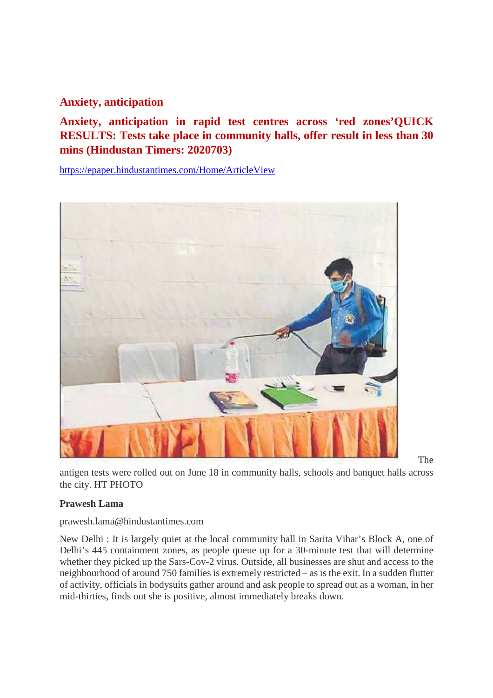# **Anxiety, anticipation**

**Anxiety, anticipation in rapid test centres across 'red zones'QUICK RESULTS: Tests take place in community halls, offer result in less than 30 mins (Hindustan Timers: 2020703)**

https://epaper.hindustantimes.com/Home/ArticleView



The

antigen tests were rolled out on June 18 in community halls, schools and banquet halls across the city. HT PHOTO

#### **Prawesh Lama**

prawesh.lama@hindustantimes.com

New Delhi : It is largely quiet at the local community hall in Sarita Vihar's Block A, one of Delhi's 445 containment zones, as people queue up for a 30-minute test that will determine whether they picked up the Sars-Cov-2 virus. Outside, all businesses are shut and access to the neighbourhood of around 750 families is extremely restricted – as is the exit. In a sudden flutter of activity, officials in bodysuits gather around and ask people to spread out as a woman, in her mid-thirties, finds out she is positive, almost immediately breaks down.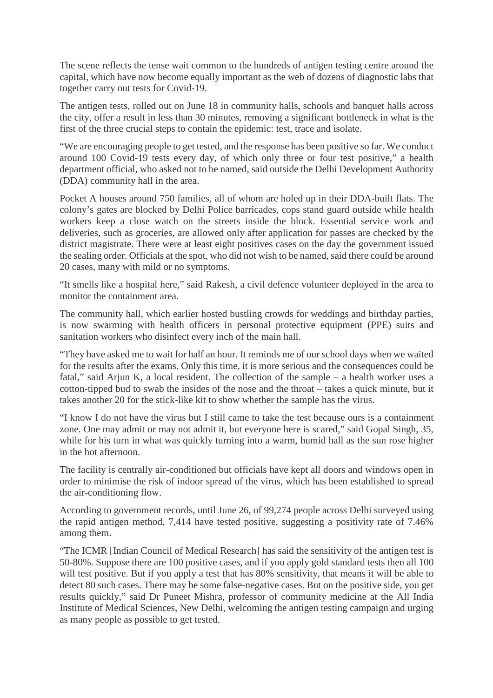The scene reflects the tense wait common to the hundreds of antigen testing centre around the capital, which have now become equally important as the web of dozens of diagnostic labs that together carry out tests for Covid-19.

The antigen tests, rolled out on June 18 in community halls, schools and banquet halls across the city, offer a result in less than 30 minutes, removing a significant bottleneck in what is the first of the three crucial steps to contain the epidemic: test, trace and isolate.

"We are encouraging people to get tested, and the response has been positive so far. We conduct around 100 Covid-19 tests every day, of which only three or four test positive," a health department official, who asked not to be named, said outside the Delhi Development Authority (DDA) community hall in the area.

Pocket A houses around 750 families, all of whom are holed up in their DDA-built flats. The colony's gates are blocked by Delhi Police barricades, cops stand guard outside while health workers keep a close watch on the streets inside the block. Essential service work and deliveries, such as groceries, are allowed only after application for passes are checked by the district magistrate. There were at least eight positives cases on the day the government issued the sealing order. Officials at the spot, who did not wish to be named, said there could be around 20 cases, many with mild or no symptoms.

"It smells like a hospital here," said Rakesh, a civil defence volunteer deployed in the area to monitor the containment area.

The community hall, which earlier hosted bustling crowds for weddings and birthday parties, is now swarming with health officers in personal protective equipment (PPE) suits and sanitation workers who disinfect every inch of the main hall.

"They have asked me to wait for half an hour. It reminds me of our school days when we waited for the results after the exams. Only this time, it is more serious and the consequences could be fatal," said Arjun K, a local resident. The collection of the sample – a health worker uses a cotton-tipped bud to swab the insides of the nose and the throat – takes a quick minute, but it takes another 20 for the stick-like kit to show whether the sample has the virus.

"I know I do not have the virus but I still came to take the test because ours is a containment zone. One may admit or may not admit it, but everyone here is scared," said Gopal Singh, 35, while for his turn in what was quickly turning into a warm, humid hall as the sun rose higher in the hot afternoon.

The facility is centrally air-conditioned but officials have kept all doors and windows open in order to minimise the risk of indoor spread of the virus, which has been established to spread the air-conditioning flow.

According to government records, until June 26, of 99,274 people across Delhi surveyed using the rapid antigen method, 7,414 have tested positive, suggesting a positivity rate of 7.46% among them.

"The ICMR [Indian Council of Medical Research] has said the sensitivity of the antigen test is 50-80%. Suppose there are 100 positive cases, and if you apply gold standard tests then all 100 will test positive. But if you apply a test that has 80% sensitivity, that means it will be able to detect 80 such cases. There may be some false-negative cases. But on the positive side, you get results quickly," said Dr Puneet Mishra, professor of community medicine at the All India Institute of Medical Sciences, New Delhi, welcoming the antigen testing campaign and urging as many people as possible to get tested.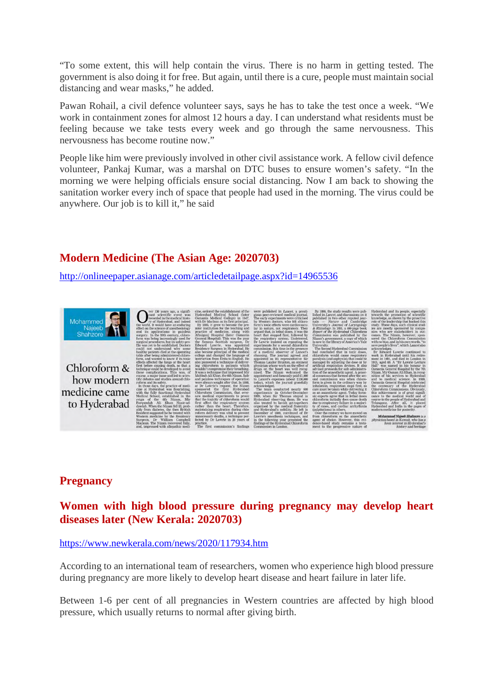"To some extent, this will help contain the virus. There is no harm in getting tested. The government is also doing it for free. But again, until there is a cure, people must maintain social distancing and wear masks," he added.

Pawan Rohail, a civil defence volunteer says, says he has to take the test once a week. "We work in containment zones for almost 12 hours a day. I can understand what residents must be feeling because we take tests every week and go through the same nervousness. This nervousness has become routine now."

People like him were previously involved in other civil assistance work. A fellow civil defence volunteer, Pankaj Kumar, was a marshal on DTC buses to ensure women's safety. "In the morning we were helping officials ensure social distancing. Now I am back to showing the sanitation worker every inch of space that people had used in the morning. The virus could be anywhere. Our job is to kill it," he said

# **Modern Medicine (The Asian Age: 2020703)**

http://onlineepaper.asianage.com/articledetailpage.aspx?id=14965536



Chloroform & how modern medicine came to Hyderabad

# **Pregnancy**

# **Women with high blood pressure during pregnancy may develop heart diseases later (New Kerala: 2020703)**

#### https://www.newkerala.com/news/2020/117934.htm

According to an international team of researchers, women who experience high blood pressure during pregnancy are more likely to develop heart disease and heart failure in later life.

Between 1-6 per cent of all pregnancies in Western countries are affected by high blood pressure, which usually returns to normal after giving birth.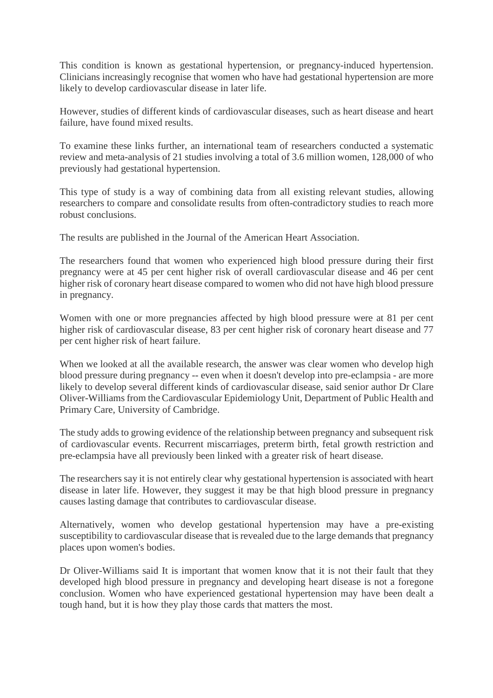This condition is known as gestational hypertension, or pregnancy-induced hypertension. Clinicians increasingly recognise that women who have had gestational hypertension are more likely to develop cardiovascular disease in later life.

However, studies of different kinds of cardiovascular diseases, such as heart disease and heart failure, have found mixed results.

To examine these links further, an international team of researchers conducted a systematic review and meta-analysis of 21 studies involving a total of 3.6 million women, 128,000 of who previously had gestational hypertension.

This type of study is a way of combining data from all existing relevant studies, allowing researchers to compare and consolidate results from often-contradictory studies to reach more robust conclusions.

The results are published in the Journal of the American Heart Association.

The researchers found that women who experienced high blood pressure during their first pregnancy were at 45 per cent higher risk of overall cardiovascular disease and 46 per cent higher risk of coronary heart disease compared to women who did not have high blood pressure in pregnancy.

Women with one or more pregnancies affected by high blood pressure were at 81 per cent higher risk of cardiovascular disease, 83 per cent higher risk of coronary heart disease and 77 per cent higher risk of heart failure.

When we looked at all the available research, the answer was clear women who develop high blood pressure during pregnancy -- even when it doesn't develop into pre-eclampsia - are more likely to develop several different kinds of cardiovascular disease, said senior author Dr Clare Oliver-Williams from the Cardiovascular Epidemiology Unit, Department of Public Health and Primary Care, University of Cambridge.

The study adds to growing evidence of the relationship between pregnancy and subsequent risk of cardiovascular events. Recurrent miscarriages, preterm birth, fetal growth restriction and pre-eclampsia have all previously been linked with a greater risk of heart disease.

The researchers say it is not entirely clear why gestational hypertension is associated with heart disease in later life. However, they suggest it may be that high blood pressure in pregnancy causes lasting damage that contributes to cardiovascular disease.

Alternatively, women who develop gestational hypertension may have a pre-existing susceptibility to cardiovascular disease that is revealed due to the large demands that pregnancy places upon women's bodies.

Dr Oliver-Williams said It is important that women know that it is not their fault that they developed high blood pressure in pregnancy and developing heart disease is not a foregone conclusion. Women who have experienced gestational hypertension may have been dealt a tough hand, but it is how they play those cards that matters the most.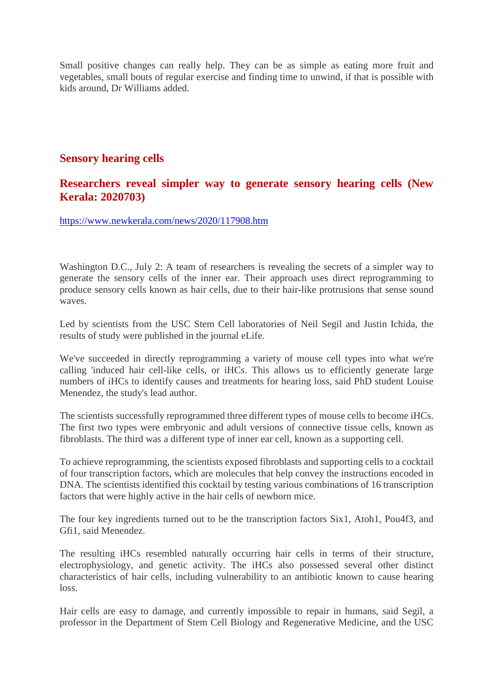Small positive changes can really help. They can be as simple as eating more fruit and vegetables, small bouts of regular exercise and finding time to unwind, if that is possible with kids around, Dr Williams added.

# **Sensory hearing cells**

## **Researchers reveal simpler way to generate sensory hearing cells (New Kerala: 2020703)**

https://www.newkerala.com/news/2020/117908.htm

Washington D.C., July 2: A team of researchers is revealing the secrets of a simpler way to generate the sensory cells of the inner ear. Their approach uses direct reprogramming to produce sensory cells known as hair cells, due to their hair-like protrusions that sense sound waves.

Led by scientists from the USC Stem Cell laboratories of Neil Segil and Justin Ichida, the results of study were published in the journal eLife.

We've succeeded in directly reprogramming a variety of mouse cell types into what we're calling 'induced hair cell-like cells, or iHCs. This allows us to efficiently generate large numbers of iHCs to identify causes and treatments for hearing loss, said PhD student Louise Menendez, the study's lead author.

The scientists successfully reprogrammed three different types of mouse cells to become iHCs. The first two types were embryonic and adult versions of connective tissue cells, known as fibroblasts. The third was a different type of inner ear cell, known as a supporting cell.

To achieve reprogramming, the scientists exposed fibroblasts and supporting cells to a cocktail of four transcription factors, which are molecules that help convey the instructions encoded in DNA. The scientists identified this cocktail by testing various combinations of 16 transcription factors that were highly active in the hair cells of newborn mice.

The four key ingredients turned out to be the transcription factors Six1, Atoh1, Pou4f3, and Gfi1, said Menendez.

The resulting iHCs resembled naturally occurring hair cells in terms of their structure, electrophysiology, and genetic activity. The iHCs also possessed several other distinct characteristics of hair cells, including vulnerability to an antibiotic known to cause hearing loss.

Hair cells are easy to damage, and currently impossible to repair in humans, said Segil, a professor in the Department of Stem Cell Biology and Regenerative Medicine, and the USC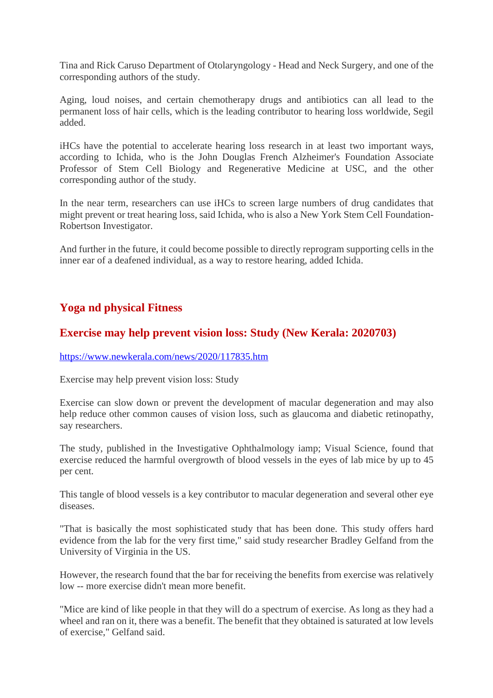Tina and Rick Caruso Department of Otolaryngology - Head and Neck Surgery, and one of the corresponding authors of the study.

Aging, loud noises, and certain chemotherapy drugs and antibiotics can all lead to the permanent loss of hair cells, which is the leading contributor to hearing loss worldwide, Segil added.

iHCs have the potential to accelerate hearing loss research in at least two important ways, according to Ichida, who is the John Douglas French Alzheimer's Foundation Associate Professor of Stem Cell Biology and Regenerative Medicine at USC, and the other corresponding author of the study.

In the near term, researchers can use iHCs to screen large numbers of drug candidates that might prevent or treat hearing loss, said Ichida, who is also a New York Stem Cell Foundation-Robertson Investigator.

And further in the future, it could become possible to directly reprogram supporting cells in the inner ear of a deafened individual, as a way to restore hearing, added Ichida.

# **Yoga nd physical Fitness**

# **Exercise may help prevent vision loss: Study (New Kerala: 2020703)**

#### https://www.newkerala.com/news/2020/117835.htm

Exercise may help prevent vision loss: Study

Exercise can slow down or prevent the development of macular degeneration and may also help reduce other common causes of vision loss, such as glaucoma and diabetic retinopathy, say researchers.

The study, published in the Investigative Ophthalmology iamp; Visual Science, found that exercise reduced the harmful overgrowth of blood vessels in the eyes of lab mice by up to 45 per cent.

This tangle of blood vessels is a key contributor to macular degeneration and several other eye diseases.

"That is basically the most sophisticated study that has been done. This study offers hard evidence from the lab for the very first time," said study researcher Bradley Gelfand from the University of Virginia in the US.

However, the research found that the bar for receiving the benefits from exercise was relatively low -- more exercise didn't mean more benefit.

"Mice are kind of like people in that they will do a spectrum of exercise. As long as they had a wheel and ran on it, there was a benefit. The benefit that they obtained is saturated at low levels of exercise," Gelfand said.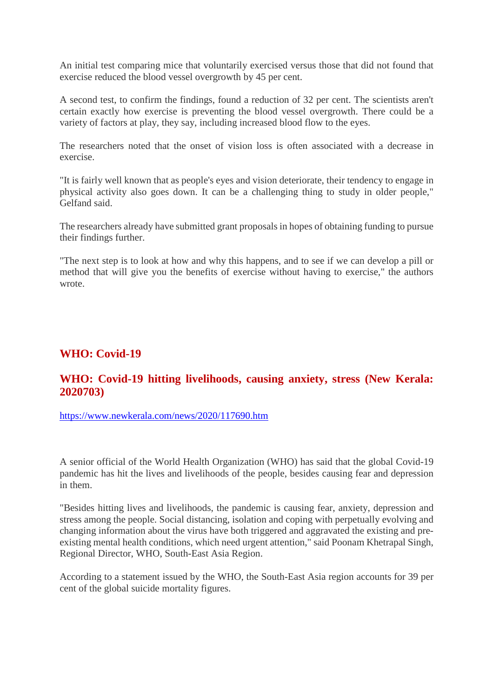An initial test comparing mice that voluntarily exercised versus those that did not found that exercise reduced the blood vessel overgrowth by 45 per cent.

A second test, to confirm the findings, found a reduction of 32 per cent. The scientists aren't certain exactly how exercise is preventing the blood vessel overgrowth. There could be a variety of factors at play, they say, including increased blood flow to the eyes.

The researchers noted that the onset of vision loss is often associated with a decrease in exercise.

"It is fairly well known that as people's eyes and vision deteriorate, their tendency to engage in physical activity also goes down. It can be a challenging thing to study in older people," Gelfand said.

The researchers already have submitted grant proposals in hopes of obtaining funding to pursue their findings further.

"The next step is to look at how and why this happens, and to see if we can develop a pill or method that will give you the benefits of exercise without having to exercise," the authors wrote.

## **WHO: Covid-19**

# **WHO: Covid-19 hitting livelihoods, causing anxiety, stress (New Kerala: 2020703)**

https://www.newkerala.com/news/2020/117690.htm

A senior official of the World Health Organization (WHO) has said that the global Covid-19 pandemic has hit the lives and livelihoods of the people, besides causing fear and depression in them.

"Besides hitting lives and livelihoods, the pandemic is causing fear, anxiety, depression and stress among the people. Social distancing, isolation and coping with perpetually evolving and changing information about the virus have both triggered and aggravated the existing and preexisting mental health conditions, which need urgent attention," said Poonam Khetrapal Singh, Regional Director, WHO, South-East Asia Region.

According to a statement issued by the WHO, the South-East Asia region accounts for 39 per cent of the global suicide mortality figures.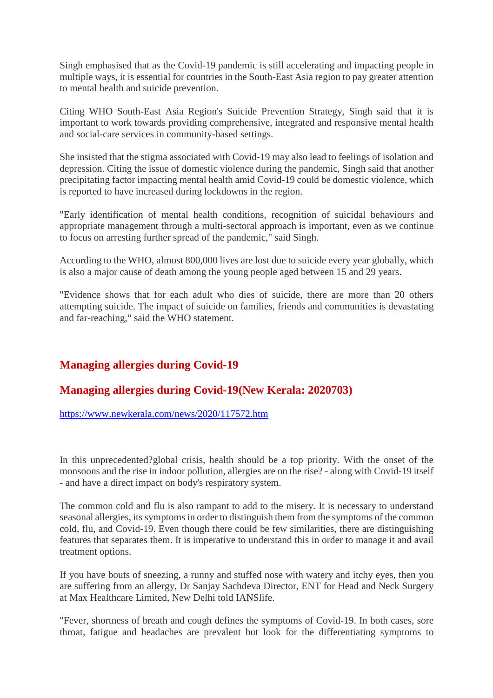Singh emphasised that as the Covid-19 pandemic is still accelerating and impacting people in multiple ways, it is essential for countries in the South-East Asia region to pay greater attention to mental health and suicide prevention.

Citing WHO South-East Asia Region's Suicide Prevention Strategy, Singh said that it is important to work towards providing comprehensive, integrated and responsive mental health and social-care services in community-based settings.

She insisted that the stigma associated with Covid-19 may also lead to feelings of isolation and depression. Citing the issue of domestic violence during the pandemic, Singh said that another precipitating factor impacting mental health amid Covid-19 could be domestic violence, which is reported to have increased during lockdowns in the region.

"Early identification of mental health conditions, recognition of suicidal behaviours and appropriate management through a multi-sectoral approach is important, even as we continue to focus on arresting further spread of the pandemic," said Singh.

According to the WHO, almost 800,000 lives are lost due to suicide every year globally, which is also a major cause of death among the young people aged between 15 and 29 years.

"Evidence shows that for each adult who dies of suicide, there are more than 20 others attempting suicide. The impact of suicide on families, friends and communities is devastating and far-reaching," said the WHO statement.

# **Managing allergies during Covid-19**

# **Managing allergies during Covid-19(New Kerala: 2020703)**

#### https://www.newkerala.com/news/2020/117572.htm

In this unprecedented?global crisis, health should be a top priority. With the onset of the monsoons and the rise in indoor pollution, allergies are on the rise? - along with Covid-19 itself - and have a direct impact on body's respiratory system.

The common cold and flu is also rampant to add to the misery. It is necessary to understand seasonal allergies, its symptoms in order to distinguish them from the symptoms of the common cold, flu, and Covid-19. Even though there could be few similarities, there are distinguishing features that separates them. It is imperative to understand this in order to manage it and avail treatment options.

If you have bouts of sneezing, a runny and stuffed nose with watery and itchy eyes, then you are suffering from an allergy, Dr Sanjay Sachdeva Director, ENT for Head and Neck Surgery at Max Healthcare Limited, New Delhi told IANSlife.

"Fever, shortness of breath and cough defines the symptoms of Covid-19. In both cases, sore throat, fatigue and headaches are prevalent but look for the differentiating symptoms to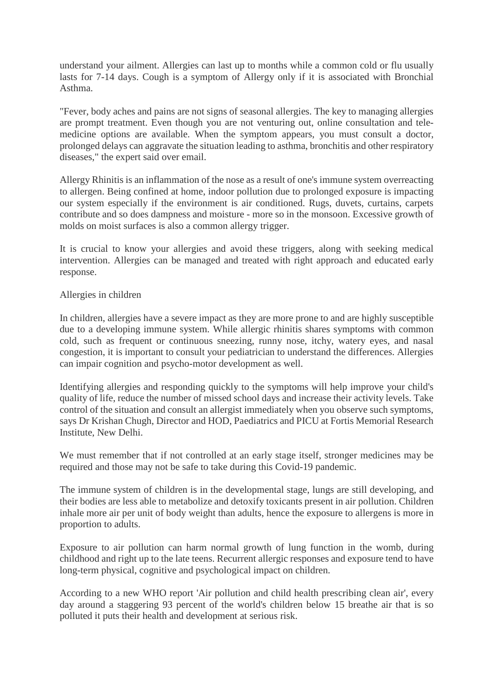understand your ailment. Allergies can last up to months while a common cold or flu usually lasts for 7-14 days. Cough is a symptom of Allergy only if it is associated with Bronchial Asthma.

"Fever, body aches and pains are not signs of seasonal allergies. The key to managing allergies are prompt treatment. Even though you are not venturing out, online consultation and telemedicine options are available. When the symptom appears, you must consult a doctor, prolonged delays can aggravate the situation leading to asthma, bronchitis and other respiratory diseases," the expert said over email.

Allergy Rhinitis is an inflammation of the nose as a result of one's immune system overreacting to allergen. Being confined at home, indoor pollution due to prolonged exposure is impacting our system especially if the environment is air conditioned. Rugs, duvets, curtains, carpets contribute and so does dampness and moisture - more so in the monsoon. Excessive growth of molds on moist surfaces is also a common allergy trigger.

It is crucial to know your allergies and avoid these triggers, along with seeking medical intervention. Allergies can be managed and treated with right approach and educated early response.

#### Allergies in children

In children, allergies have a severe impact as they are more prone to and are highly susceptible due to a developing immune system. While allergic rhinitis shares symptoms with common cold, such as frequent or continuous sneezing, runny nose, itchy, watery eyes, and nasal congestion, it is important to consult your pediatrician to understand the differences. Allergies can impair cognition and psycho-motor development as well.

Identifying allergies and responding quickly to the symptoms will help improve your child's quality of life, reduce the number of missed school days and increase their activity levels. Take control of the situation and consult an allergist immediately when you observe such symptoms, says Dr Krishan Chugh, Director and HOD, Paediatrics and PICU at Fortis Memorial Research Institute, New Delhi.

We must remember that if not controlled at an early stage itself, stronger medicines may be required and those may not be safe to take during this Covid-19 pandemic.

The immune system of children is in the developmental stage, lungs are still developing, and their bodies are less able to metabolize and detoxify toxicants present in air pollution. Children inhale more air per unit of body weight than adults, hence the exposure to allergens is more in proportion to adults.

Exposure to air pollution can harm normal growth of lung function in the womb, during childhood and right up to the late teens. Recurrent allergic responses and exposure tend to have long-term physical, cognitive and psychological impact on children.

According to a new WHO report 'Air pollution and child health prescribing clean air', every day around a staggering 93 percent of the world's children below 15 breathe air that is so polluted it puts their health and development at serious risk.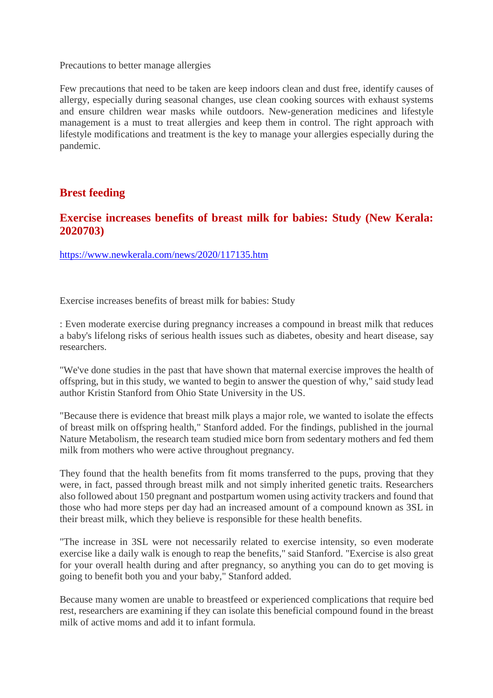Precautions to better manage allergies

Few precautions that need to be taken are keep indoors clean and dust free, identify causes of allergy, especially during seasonal changes, use clean cooking sources with exhaust systems and ensure children wear masks while outdoors. New-generation medicines and lifestyle management is a must to treat allergies and keep them in control. The right approach with lifestyle modifications and treatment is the key to manage your allergies especially during the pandemic.

# **Brest feeding**

# **Exercise increases benefits of breast milk for babies: Study (New Kerala: 2020703)**

https://www.newkerala.com/news/2020/117135.htm

Exercise increases benefits of breast milk for babies: Study

: Even moderate exercise during pregnancy increases a compound in breast milk that reduces a baby's lifelong risks of serious health issues such as diabetes, obesity and heart disease, say researchers.

"We've done studies in the past that have shown that maternal exercise improves the health of offspring, but in this study, we wanted to begin to answer the question of why," said study lead author Kristin Stanford from Ohio State University in the US.

"Because there is evidence that breast milk plays a major role, we wanted to isolate the effects of breast milk on offspring health," Stanford added. For the findings, published in the journal Nature Metabolism, the research team studied mice born from sedentary mothers and fed them milk from mothers who were active throughout pregnancy.

They found that the health benefits from fit moms transferred to the pups, proving that they were, in fact, passed through breast milk and not simply inherited genetic traits. Researchers also followed about 150 pregnant and postpartum women using activity trackers and found that those who had more steps per day had an increased amount of a compound known as 3SL in their breast milk, which they believe is responsible for these health benefits.

"The increase in 3SL were not necessarily related to exercise intensity, so even moderate exercise like a daily walk is enough to reap the benefits," said Stanford. "Exercise is also great for your overall health during and after pregnancy, so anything you can do to get moving is going to benefit both you and your baby," Stanford added.

Because many women are unable to breastfeed or experienced complications that require bed rest, researchers are examining if they can isolate this beneficial compound found in the breast milk of active moms and add it to infant formula.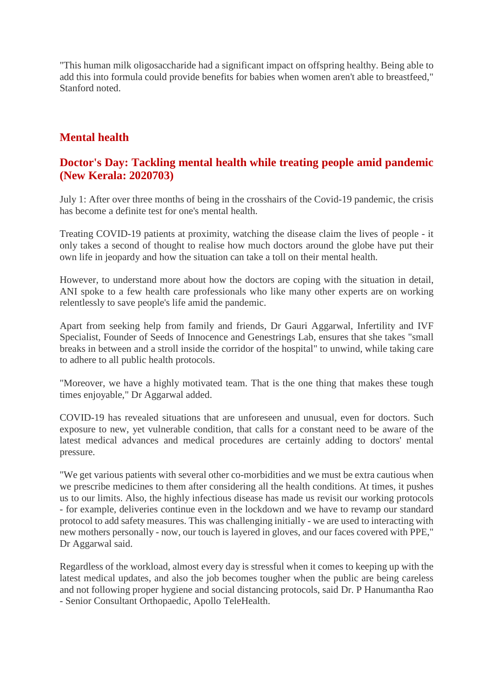"This human milk oligosaccharide had a significant impact on offspring healthy. Being able to add this into formula could provide benefits for babies when women aren't able to breastfeed," Stanford noted.

# **Mental health**

# **Doctor's Day: Tackling mental health while treating people amid pandemic (New Kerala: 2020703)**

July 1: After over three months of being in the crosshairs of the Covid-19 pandemic, the crisis has become a definite test for one's mental health.

Treating COVID-19 patients at proximity, watching the disease claim the lives of people - it only takes a second of thought to realise how much doctors around the globe have put their own life in jeopardy and how the situation can take a toll on their mental health.

However, to understand more about how the doctors are coping with the situation in detail, ANI spoke to a few health care professionals who like many other experts are on working relentlessly to save people's life amid the pandemic.

Apart from seeking help from family and friends, Dr Gauri Aggarwal, Infertility and IVF Specialist, Founder of Seeds of Innocence and Genestrings Lab, ensures that she takes "small breaks in between and a stroll inside the corridor of the hospital" to unwind, while taking care to adhere to all public health protocols.

"Moreover, we have a highly motivated team. That is the one thing that makes these tough times enjoyable," Dr Aggarwal added.

COVID-19 has revealed situations that are unforeseen and unusual, even for doctors. Such exposure to new, yet vulnerable condition, that calls for a constant need to be aware of the latest medical advances and medical procedures are certainly adding to doctors' mental pressure.

"We get various patients with several other co-morbidities and we must be extra cautious when we prescribe medicines to them after considering all the health conditions. At times, it pushes us to our limits. Also, the highly infectious disease has made us revisit our working protocols - for example, deliveries continue even in the lockdown and we have to revamp our standard protocol to add safety measures. This was challenging initially - we are used to interacting with new mothers personally - now, our touch is layered in gloves, and our faces covered with PPE," Dr Aggarwal said.

Regardless of the workload, almost every day is stressful when it comes to keeping up with the latest medical updates, and also the job becomes tougher when the public are being careless and not following proper hygiene and social distancing protocols, said Dr. P Hanumantha Rao - Senior Consultant Orthopaedic, Apollo TeleHealth.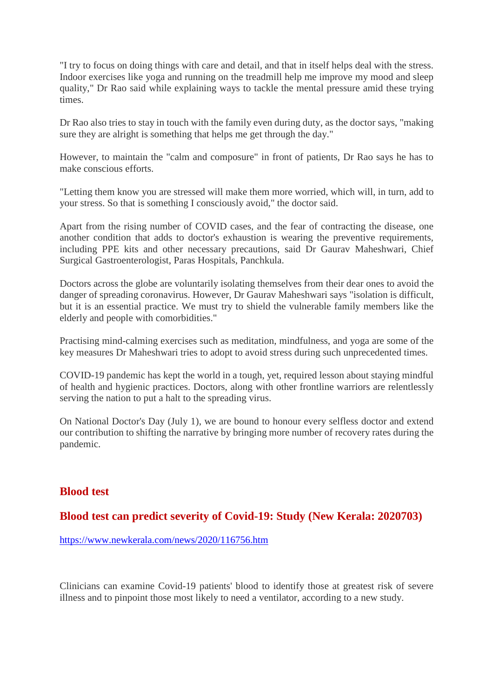"I try to focus on doing things with care and detail, and that in itself helps deal with the stress. Indoor exercises like yoga and running on the treadmill help me improve my mood and sleep quality," Dr Rao said while explaining ways to tackle the mental pressure amid these trying times.

Dr Rao also tries to stay in touch with the family even during duty, as the doctor says, "making sure they are alright is something that helps me get through the day."

However, to maintain the "calm and composure" in front of patients, Dr Rao says he has to make conscious efforts.

"Letting them know you are stressed will make them more worried, which will, in turn, add to your stress. So that is something I consciously avoid," the doctor said.

Apart from the rising number of COVID cases, and the fear of contracting the disease, one another condition that adds to doctor's exhaustion is wearing the preventive requirements, including PPE kits and other necessary precautions, said Dr Gaurav Maheshwari, Chief Surgical Gastroenterologist, Paras Hospitals, Panchkula.

Doctors across the globe are voluntarily isolating themselves from their dear ones to avoid the danger of spreading coronavirus. However, Dr Gaurav Maheshwari says "isolation is difficult, but it is an essential practice. We must try to shield the vulnerable family members like the elderly and people with comorbidities."

Practising mind-calming exercises such as meditation, mindfulness, and yoga are some of the key measures Dr Maheshwari tries to adopt to avoid stress during such unprecedented times.

COVID-19 pandemic has kept the world in a tough, yet, required lesson about staying mindful of health and hygienic practices. Doctors, along with other frontline warriors are relentlessly serving the nation to put a halt to the spreading virus.

On National Doctor's Day (July 1), we are bound to honour every selfless doctor and extend our contribution to shifting the narrative by bringing more number of recovery rates during the pandemic.

# **Blood test**

# **Blood test can predict severity of Covid-19: Study (New Kerala: 2020703)**

https://www.newkerala.com/news/2020/116756.htm

Clinicians can examine Covid-19 patients' blood to identify those at greatest risk of severe illness and to pinpoint those most likely to need a ventilator, according to a new study.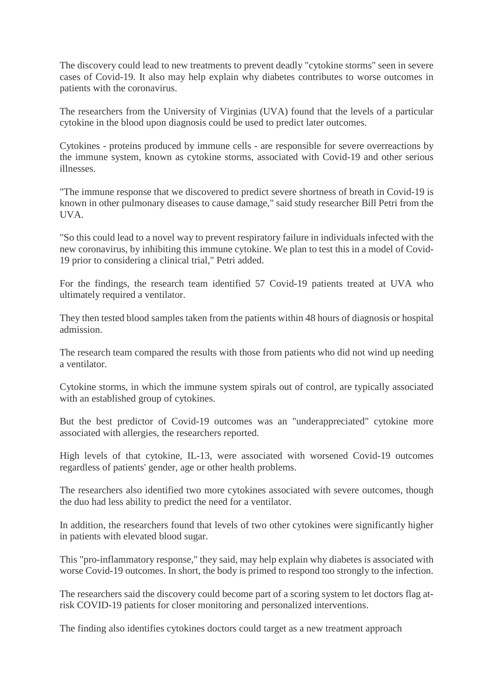The discovery could lead to new treatments to prevent deadly "cytokine storms" seen in severe cases of Covid-19. It also may help explain why diabetes contributes to worse outcomes in patients with the coronavirus.

The researchers from the University of Virginias (UVA) found that the levels of a particular cytokine in the blood upon diagnosis could be used to predict later outcomes.

Cytokines - proteins produced by immune cells - are responsible for severe overreactions by the immune system, known as cytokine storms, associated with Covid-19 and other serious illnesses.

"The immune response that we discovered to predict severe shortness of breath in Covid-19 is known in other pulmonary diseases to cause damage," said study researcher Bill Petri from the UVA.

"So this could lead to a novel way to prevent respiratory failure in individuals infected with the new coronavirus, by inhibiting this immune cytokine. We plan to test this in a model of Covid-19 prior to considering a clinical trial," Petri added.

For the findings, the research team identified 57 Covid-19 patients treated at UVA who ultimately required a ventilator.

They then tested blood samples taken from the patients within 48 hours of diagnosis or hospital admission.

The research team compared the results with those from patients who did not wind up needing a ventilator.

Cytokine storms, in which the immune system spirals out of control, are typically associated with an established group of cytokines.

But the best predictor of Covid-19 outcomes was an "underappreciated" cytokine more associated with allergies, the researchers reported.

High levels of that cytokine, IL-13, were associated with worsened Covid-19 outcomes regardless of patients' gender, age or other health problems.

The researchers also identified two more cytokines associated with severe outcomes, though the duo had less ability to predict the need for a ventilator.

In addition, the researchers found that levels of two other cytokines were significantly higher in patients with elevated blood sugar.

This "pro-inflammatory response," they said, may help explain why diabetes is associated with worse Covid-19 outcomes. In short, the body is primed to respond too strongly to the infection.

The researchers said the discovery could become part of a scoring system to let doctors flag atrisk COVID-19 patients for closer monitoring and personalized interventions.

The finding also identifies cytokines doctors could target as a new treatment approach